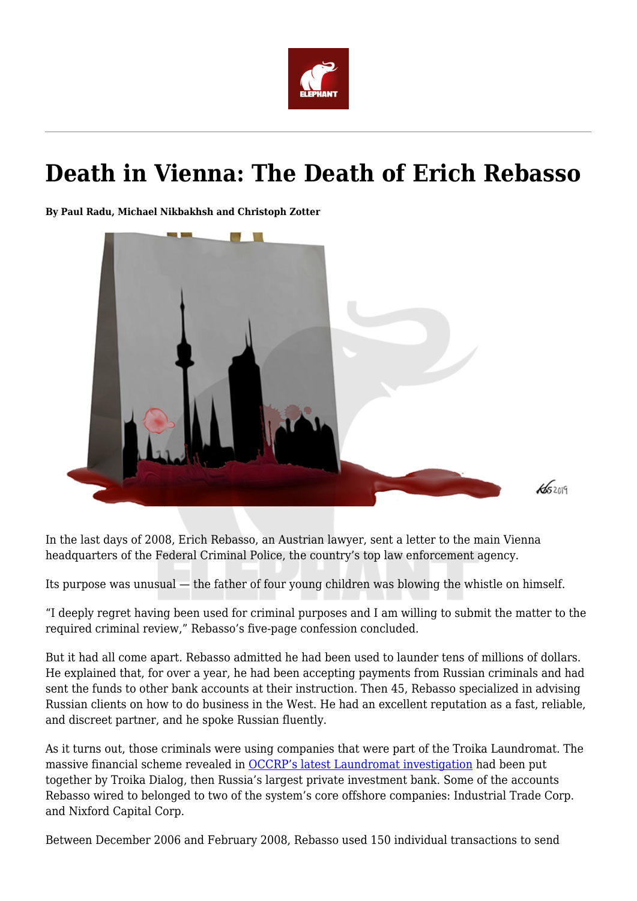

# **Death in Vienna: The Death of Erich Rebasso**

**By Paul Radu, Michael Nikbakhsh and Christoph Zotter**



In the last days of 2008, Erich Rebasso, an Austrian lawyer, sent a letter to the main Vienna headquarters of the Federal Criminal Police, the country's top law enforcement agency.

Its purpose was unusual — the father of four young children was blowing the whistle on himself.

"I deeply regret having been used for criminal purposes and I am willing to submit the matter to the required criminal review," Rebasso's five-page confession concluded.

But it had all come apart. Rebasso admitted he had been used to launder tens of millions of dollars. He explained that, for over a year, he had been accepting payments from Russian criminals and had sent the funds to other bank accounts at their instruction. Then 45, Rebasso specialized in advising Russian clients on how to do business in the West. He had an excellent reputation as a fast, reliable, and discreet partner, and he spoke Russian fluently.

As it turns out, those criminals were using companies that were part of the Troika Laundromat. The massive financial scheme revealed in [OCCRP's latest Laundromat investigation](https://www.occrp.org/en/troikalaundromat/) had been put together by Troika Dialog, then Russia's largest private investment bank. Some of the accounts Rebasso wired to belonged to two of the system's core offshore companies: Industrial Trade Corp. and Nixford Capital Corp.

Between December 2006 and February 2008, Rebasso used 150 individual transactions to send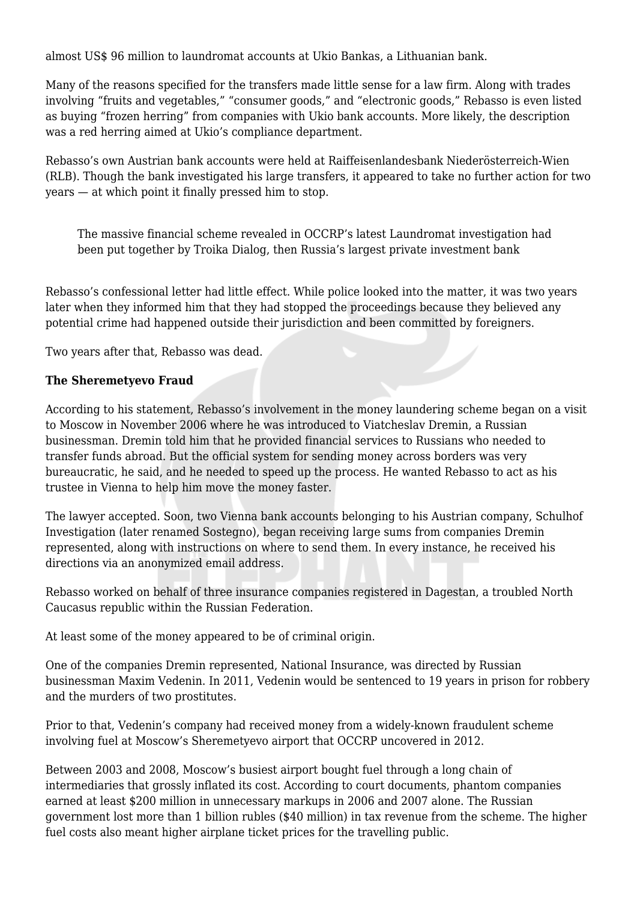almost US\$ 96 million to laundromat accounts at Ukio Bankas, a Lithuanian bank.

Many of the reasons specified for the transfers made little sense for a law firm. Along with trades involving "fruits and vegetables," "consumer goods," and "electronic goods," Rebasso is even listed as buying "frozen herring" from companies with Ukio bank accounts. More likely, the description was a red herring aimed at Ukio's compliance department.

Rebasso's own Austrian bank accounts were held at Raiffeisenlandesbank Niederösterreich-Wien (RLB). Though the bank investigated his large transfers, it appeared to take no further action for two years — at which point it finally pressed him to stop.

The massive financial scheme revealed in OCCRP's latest Laundromat investigation had been put together by Troika Dialog, then Russia's largest private investment bank

Rebasso's confessional letter had little effect. While police looked into the matter, it was two years later when they informed him that they had stopped the proceedings because they believed any potential crime had happened outside their jurisdiction and been committed by foreigners.

Two years after that, Rebasso was dead.

## **The Sheremetyevo Fraud**

According to his statement, Rebasso's involvement in the money laundering scheme began on a visit to Moscow in November 2006 where he was introduced to Viatcheslav Dremin, a Russian businessman. Dremin told him that he provided financial services to Russians who needed to transfer funds abroad. But the official system for sending money across borders was very bureaucratic, he said, and he needed to speed up the process. He wanted Rebasso to act as his trustee in Vienna to help him move the money faster.

The lawyer accepted. Soon, two Vienna bank accounts belonging to his Austrian company, Schulhof Investigation (later renamed Sostegno), began receiving large sums from companies Dremin represented, along with instructions on where to send them. In every instance, he received his directions via an anonymized email address.

Rebasso worked on behalf of three insurance companies registered in Dagestan, a troubled North Caucasus republic within the Russian Federation.

At least some of the money appeared to be of criminal origin.

One of the companies Dremin represented, National Insurance, was directed by Russian businessman Maxim Vedenin. In 2011, Vedenin would be sentenced to 19 years in prison for robbery and the murders of two prostitutes.

Prior to that, Vedenin's company had received money from a widely-known fraudulent scheme involving fuel at Moscow's Sheremetyevo airport that OCCRP uncovered in 2012.

Between 2003 and 2008, Moscow's busiest airport bought fuel through a long chain of intermediaries that grossly inflated its cost. According to court documents, phantom companies earned at least \$200 million in unnecessary markups in 2006 and 2007 alone. The Russian government lost more than 1 billion rubles (\$40 million) in tax revenue from the scheme. The higher fuel costs also meant higher airplane ticket prices for the travelling public.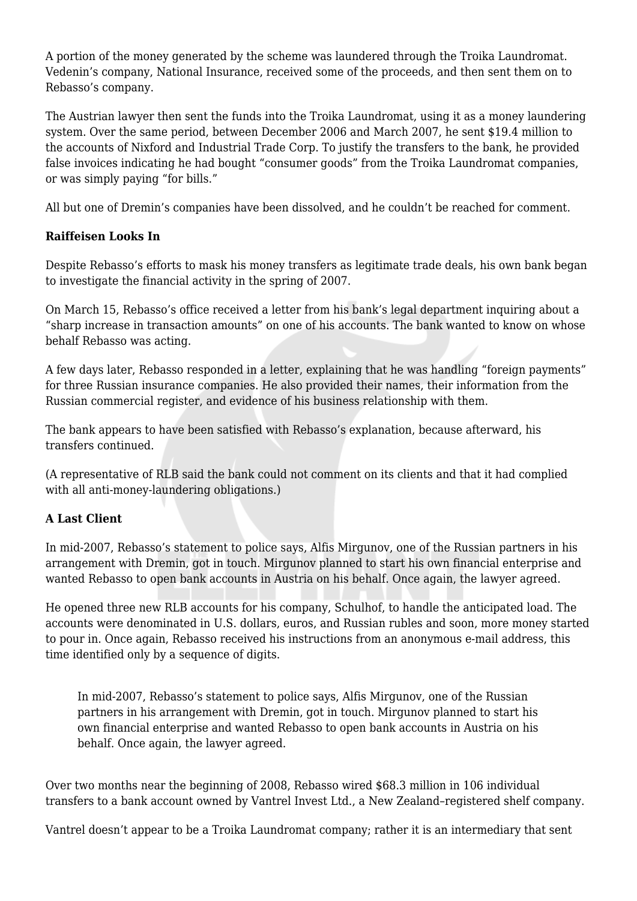A portion of the money generated by the scheme was laundered through the Troika Laundromat. Vedenin's company, National Insurance, received some of the proceeds, and then sent them on to Rebasso's company.

The Austrian lawyer then sent the funds into the Troika Laundromat, using it as a money laundering system. Over the same period, between December 2006 and March 2007, he sent \$19.4 million to the accounts of Nixford and Industrial Trade Corp. To justify the transfers to the bank, he provided false invoices indicating he had bought "consumer goods" from the Troika Laundromat companies, or was simply paying "for bills."

All but one of Dremin's companies have been dissolved, and he couldn't be reached for comment.

## **Raiffeisen Looks In**

Despite Rebasso's efforts to mask his money transfers as legitimate trade deals, his own bank began to investigate the financial activity in the spring of 2007.

On March 15, Rebasso's office received a letter from his bank's legal department inquiring about a "sharp increase in transaction amounts" on one of his accounts. The bank wanted to know on whose behalf Rebasso was acting.

A few days later, Rebasso responded in a letter, explaining that he was handling "foreign payments" for three Russian insurance companies. He also provided their names, their information from the Russian commercial register, and evidence of his business relationship with them.

The bank appears to have been satisfied with Rebasso's explanation, because afterward, his transfers continued.

(A representative of RLB said the bank could not comment on its clients and that it had complied with all anti-money-laundering obligations.)

# **A Last Client**

In mid-2007, Rebasso's statement to police says, Alfis Mirgunov, one of the Russian partners in his arrangement with Dremin, got in touch. Mirgunov planned to start his own financial enterprise and wanted Rebasso to open bank accounts in Austria on his behalf. Once again, the lawyer agreed.

He opened three new RLB accounts for his company, Schulhof, to handle the anticipated load. The accounts were denominated in U.S. dollars, euros, and Russian rubles and soon, more money started to pour in. Once again, Rebasso received his instructions from an anonymous e-mail address, this time identified only by a sequence of digits.

In mid-2007, Rebasso's statement to police says, Alfis Mirgunov, one of the Russian partners in his arrangement with Dremin, got in touch. Mirgunov planned to start his own financial enterprise and wanted Rebasso to open bank accounts in Austria on his behalf. Once again, the lawyer agreed.

Over two months near the beginning of 2008, Rebasso wired \$68.3 million in 106 individual transfers to a bank account owned by Vantrel Invest Ltd., a New Zealand–registered shelf company.

Vantrel doesn't appear to be a Troika Laundromat company; rather it is an intermediary that sent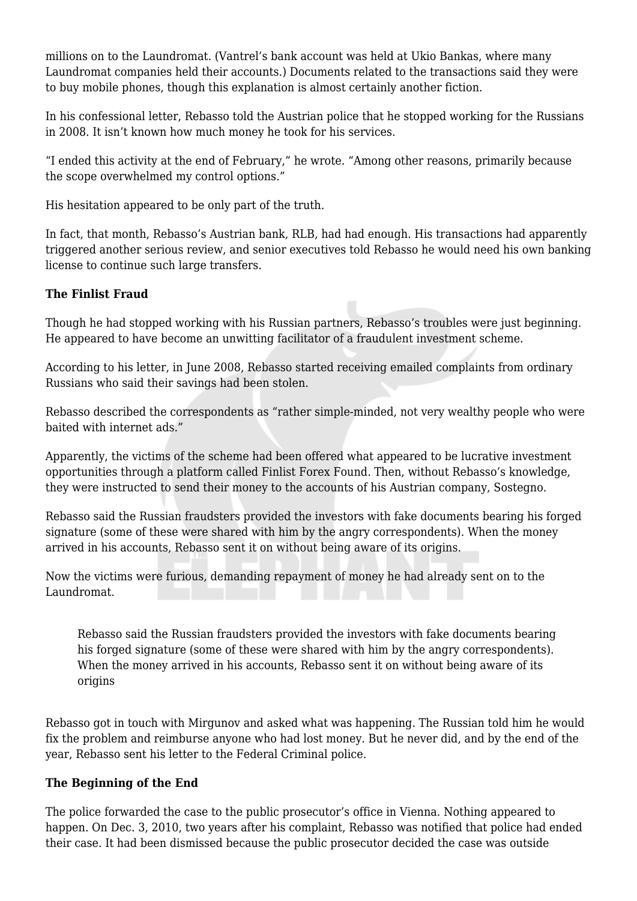millions on to the Laundromat. (Vantrel's bank account was held at Ukio Bankas, where many Laundromat companies held their accounts.) Documents related to the transactions said they were to buy mobile phones, though this explanation is almost certainly another fiction.

In his confessional letter, Rebasso told the Austrian police that he stopped working for the Russians in 2008. It isn't known how much money he took for his services.

"I ended this activity at the end of February," he wrote. "Among other reasons, primarily because the scope overwhelmed my control options."

His hesitation appeared to be only part of the truth.

In fact, that month, Rebasso's Austrian bank, RLB, had had enough. His transactions had apparently triggered another serious review, and senior executives told Rebasso he would need his own banking license to continue such large transfers.

## **The Finlist Fraud**

Though he had stopped working with his Russian partners, Rebasso's troubles were just beginning. He appeared to have become an unwitting facilitator of a fraudulent investment scheme.

According to his letter, in June 2008, Rebasso started receiving emailed complaints from ordinary Russians who said their savings had been stolen.

Rebasso described the correspondents as "rather simple-minded, not very wealthy people who were baited with internet ads."

Apparently, the victims of the scheme had been offered what appeared to be lucrative investment opportunities through a platform called Finlist Forex Found. Then, without Rebasso's knowledge, they were instructed to send their money to the accounts of his Austrian company, Sostegno.

Rebasso said the Russian fraudsters provided the investors with fake documents bearing his forged signature (some of these were shared with him by the angry correspondents). When the money arrived in his accounts, Rebasso sent it on without being aware of its origins.

Now the victims were furious, demanding repayment of money he had already sent on to the Laundromat.

Rebasso said the Russian fraudsters provided the investors with fake documents bearing his forged signature (some of these were shared with him by the angry correspondents). When the money arrived in his accounts, Rebasso sent it on without being aware of its origins

Rebasso got in touch with Mirgunov and asked what was happening. The Russian told him he would fix the problem and reimburse anyone who had lost money. But he never did, and by the end of the year, Rebasso sent his letter to the Federal Criminal police.

# **The Beginning of the End**

The police forwarded the case to the public prosecutor's office in Vienna. Nothing appeared to happen. On Dec. 3, 2010, two years after his complaint, Rebasso was notified that police had ended their case. It had been dismissed because the public prosecutor decided the case was outside